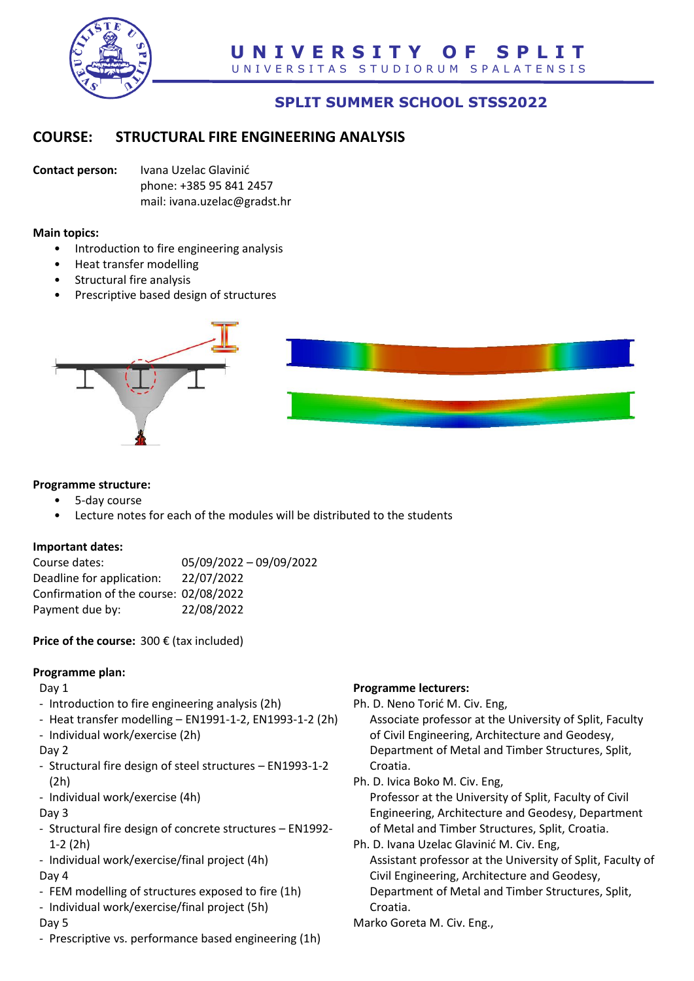

# **SPLIT SUMMER SCHOOL STSS2022**

## **COURSE: STRUCTURAL FIRE ENGINEERING ANALYSIS**

**Contact person:** Ivana Uzelac Glavinić phone: +385 95 841 2457 mail: ivana.uzelac@gradst.hr

#### **Main topics:**

- Introduction to fire engineering analysis
- Heat transfer modelling
- Structural fire analysis
- Prescriptive based design of structures



#### **Programme structure:**

- 5-day course
- Lecture notes for each of the modules will be distributed to the students

#### **Important dates:**

| 05/09/2022 - 09/09/2022                |
|----------------------------------------|
| 22/07/2022                             |
| Confirmation of the course: 02/08/2022 |
| 22/08/2022                             |
|                                        |

**Price of the course:** 300 € (tax included)

#### **Programme plan:**

Day 1

- Introduction to fire engineering analysis (2h)
- Heat transfer modelling EN1991-1-2, EN1993-1-2 (2h)
- Individual work/exercise (2h)
- Day 2
- Structural fire design of steel structures EN1993-1-2 (2h)
- Individual work/exercise (4h)
- Day 3
- Structural fire design of concrete structures EN1992- 1-2 (2h)
- Individual work/exercise/final project (4h)

#### Day 4

- FEM modelling of structures exposed to fire (1h)
- Individual work/exercise/final project (5h)

#### Day 5

- Prescriptive vs. performance based engineering (1h)

### **Programme lecturers:**

Ph. D. Neno Torić M. Civ. Eng,

Associate professor at the University of Split, Faculty of Civil Engineering, Architecture and Geodesy, Department of Metal and Timber Structures, Split, Croatia.

- Ph. D. Ivica Boko M. Civ. Eng, Professor at the University of Split, Faculty of Civil Engineering, Architecture and Geodesy, Department of Metal and Timber Structures, Split, Croatia.
- Ph. D. Ivana Uzelac Glavinić M. Civ. Eng, Assistant professor at the University of Split, Faculty of Civil Engineering, Architecture and Geodesy, Department of Metal and Timber Structures, Split, Croatia.
- Marko Goreta M. Civ. Eng.,